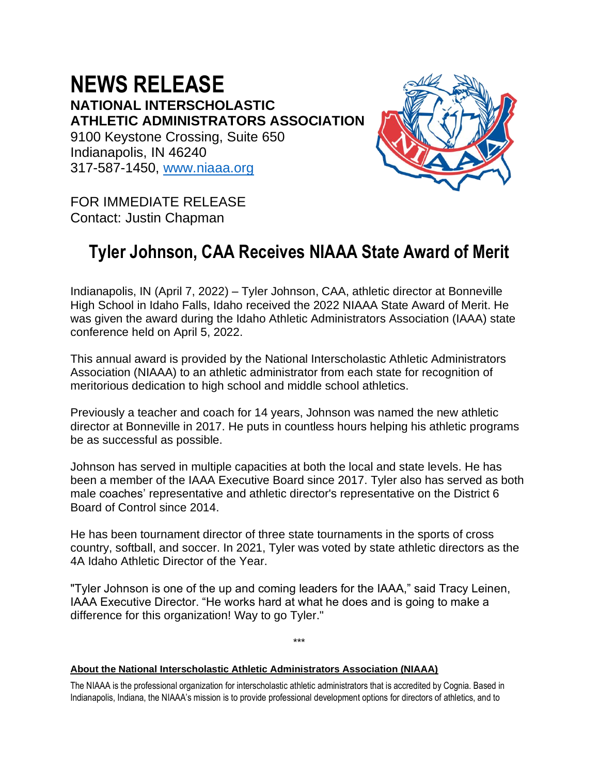**NEWS RELEASE NATIONAL INTERSCHOLASTIC ATHLETIC ADMINISTRATORS ASSOCIATION** 9100 Keystone Crossing, Suite 650 Indianapolis, IN 46240 317-587-1450, [www.niaaa.org](http://www.niaaa.org/)



FOR IMMEDIATE RELEASE Contact: Justin Chapman

## **Tyler Johnson, CAA Receives NIAAA State Award of Merit**

Indianapolis, IN (April 7, 2022) – Tyler Johnson, CAA, athletic director at Bonneville High School in Idaho Falls, Idaho received the 2022 NIAAA State Award of Merit. He was given the award during the Idaho Athletic Administrators Association (IAAA) state conference held on April 5, 2022.

This annual award is provided by the National Interscholastic Athletic Administrators Association (NIAAA) to an athletic administrator from each state for recognition of meritorious dedication to high school and middle school athletics.

Previously a teacher and coach for 14 years, Johnson was named the new athletic director at Bonneville in 2017. He puts in countless hours helping his athletic programs be as successful as possible.

Johnson has served in multiple capacities at both the local and state levels. He has been a member of the IAAA Executive Board since 2017. Tyler also has served as both male coaches' representative and athletic director's representative on the District 6 Board of Control since 2014.

He has been tournament director of three state tournaments in the sports of cross country, softball, and soccer. In 2021, Tyler was voted by state athletic directors as the 4A Idaho Athletic Director of the Year.

"Tyler Johnson is one of the up and coming leaders for the IAAA," said Tracy Leinen, IAAA Executive Director. "He works hard at what he does and is going to make a difference for this organization! Way to go Tyler."

\*\*\*

**About the National Interscholastic Athletic Administrators Association (NIAAA)**

The NIAAA is the professional organization for interscholastic athletic administrators that is accredited by Cognia. Based in Indianapolis, Indiana, the NIAAA's mission is to provide professional development options for directors of athletics, and to